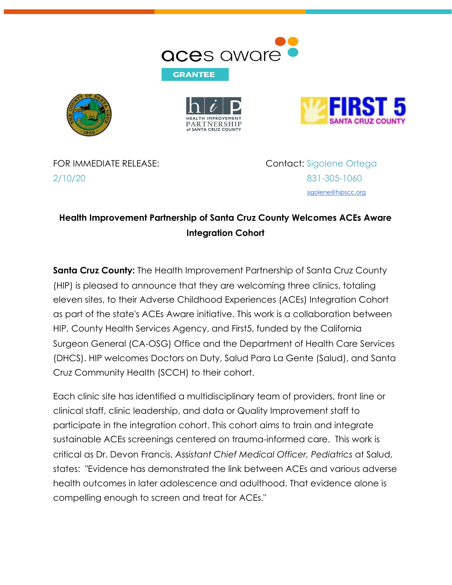







2/10/20 831-305-1060

FOR IMMEDIATE RELEASE: Contact: Sigolene Ortega [sigolene@hipscc.org](mailto:sigolene@hipscc.org)

## **Health Improvement Partnership of Santa Cruz County Welcomes ACEs Aware Integration Cohort**

**Santa Cruz County:** The Health Improvement Partnership of Santa Cruz County (HIP) is pleased to announce that they are welcoming three clinics, totaling eleven sites, to their Adverse Childhood Experiences (ACEs) Integration Cohort as part of the state's ACEs Aware initiative. This work is a collaboration between HIP, County Health Services Agency, and First5, funded by the California Surgeon General (CA-OSG) Office and the Department of Health Care Services (DHCS). HIP welcomes Doctors on Duty, Salud Para La Gente (Salud), and Santa Cruz Community Health (SCCH) to their cohort.

Each clinic site has identified a multidisciplinary team of providers, front line or clinical staff, clinic leadership, and data or Quality Improvement staff to participate in the integration cohort. This cohort aims to train and integrate sustainable ACEs screenings centered on trauma-informed care. This work is critical as Dr. Devon Francis, *Assistant Chief Medical Officer, Pediatrics* at Salud, states: "Evidence has demonstrated the link between ACEs and various adverse health outcomes in later adolescence and adulthood. That evidence alone is compelling enough to screen and treat for ACEs."